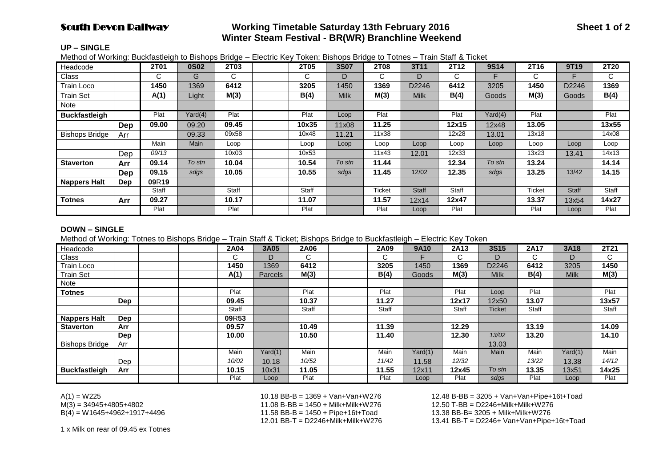# **South Devon Railway Working Timetable Saturday 13th February 2016 Sheet 1 of 2 Winter Steam Festival - BR(WR) Branchline Weekend**

#### **UP – SINGLE**

Method of Working: Buckfastleigh to Bishops Bridge – Electric Key Token; Bishops Bridge to Totnes – Train Staff & Ticket

| Headcode              |            | 2T01  | <b>0S02</b> | <b>2T03</b>  | 2T05  | <b>3S07</b> | 2T08   | 3T11         | 2T12         | <b>9S14</b> | 2T16          | 9T19         | 2T20  |
|-----------------------|------------|-------|-------------|--------------|-------|-------------|--------|--------------|--------------|-------------|---------------|--------------|-------|
| Class                 |            | C.    | G           | C.           | C     | D           | C      | D            | C.           | F           | C             |              | C.    |
| <b>Train Loco</b>     |            | 1450  | 1369        | 6412         | 3205  | 1450        | 1369   | D2246        | 6412         | 3205        | 1450          | D2246        | 1369  |
| <b>Train Set</b>      |            | A(1)  | Light       | M(3)         | B(4)  | <b>Milk</b> | M(3)   | <b>Milk</b>  | B(4)         | Goods       | M(3)          | Goods        | B(4)  |
| Note                  |            |       |             |              |       |             |        |              |              |             |               |              |       |
| <b>Buckfastleigh</b>  |            | Plat  | Yard(4)     | Plat         | Plat  | Loop        | Plat   |              | Plat         | Yard(4)     | Plat          |              | Plat  |
|                       | <b>Dep</b> | 09.00 | 09.20       | 09.45        | 10x35 | 11x08       | 11.25  |              | 12x15        | 12x48       | 13.05         |              | 13x55 |
| <b>Bishops Bridge</b> | Arr        |       | 09.33       | 09x58        | 10x48 | 11.21       | 11x38  |              | 12x28        | 13.01       | 13x18         |              | 14x08 |
|                       |            | Main  | <b>Main</b> | Loop         | Loop  | Loop        | Loop   | Loop         | Loop         | Loop        | Loop          | Loop         | Loop  |
|                       | Dep        | 09/13 |             | 10x03        | 10x53 |             | 11x43  | 12.01        | 12x33        |             | 13x23         | 13.41        | 14x13 |
| <b>Staverton</b>      | Arr        | 09.14 | To stn      | 10.04        | 10.54 | To stn      | 11.44  |              | 12.34        | To stn      | 13.24         |              | 14.14 |
|                       | Dep        | 09.15 | sdgs        | 10.05        | 10.55 | sdgs        | 11.45  | 12/02        | 12.35        | sdgs        | 13.25         | 13/42        | 14.15 |
| <b>Nappers Halt</b>   | <b>Dep</b> | 09R19 |             |              |       |             |        |              |              |             |               |              |       |
|                       |            | Staff |             | <b>Staff</b> | Staff |             | Ticket | <b>Staff</b> | <b>Staff</b> |             | <b>Ticket</b> | <b>Staff</b> | Staff |
| <b>Totnes</b>         | Arr        | 09.27 |             | 10.17        | 11.07 |             | 11.57  | 12x14        | 12x47        |             | 13.37         | 13x54        | 14x27 |
|                       |            | Plat  |             | Plat         | Plat  |             | Plat   | Loop         | Plat         |             | Plat          | Loop         | Plat  |

#### **DOWN – SINGLE**

Method of Working: Totnes to Bishops Bridge – Train Staff & Ticket; Bishops Bridge to Buckfastleigh – Electric Key Token

| Headcode              |            |  | 2A04  | 3A05           | 2A06  | 2A09  | 9A10    | 2A13    | <b>3S15</b> | 2A17  | 3A18        | 2T21  |
|-----------------------|------------|--|-------|----------------|-------|-------|---------|---------|-------------|-------|-------------|-------|
| Class                 |            |  | C     | D              | C.    | C.    |         | ⌒<br>ι. | D           | C.    | D           | C     |
| Train Loco            |            |  | 1450  | 1369           | 6412  | 3205  | 1450    | 1369    | D2246       | 6412  | 3205        | 1450  |
| <b>Train Set</b>      |            |  | A(1)  | <b>Parcels</b> | M(3)  | B(4)  | Goods   | M(3)    | <b>Milk</b> | B(4)  | <b>Milk</b> | M(3)  |
| Note                  |            |  |       |                |       |       |         |         |             |       |             |       |
| <b>Totnes</b>         |            |  | Plat  |                | Plat  | Plat  |         | Plat    | Loop        | Plat  |             | Plat  |
|                       | <b>Dep</b> |  | 09.45 |                | 10.37 | 11.27 |         | 12x17   | 12x50       | 13.07 |             | 13x57 |
|                       |            |  | Staff |                | Staff | Staff |         | Staff   | Ticket      | Staff |             | Staff |
| <b>Nappers Halt</b>   | Dep        |  | 09R53 |                |       |       |         |         |             |       |             |       |
| <b>Staverton</b>      | Arr        |  | 09.57 |                | 10.49 | 11.39 |         | 12.29   |             | 13.19 |             | 14.09 |
|                       | Dep        |  | 10.00 |                | 10.50 | 11.40 |         | 12.30   | 13/02       | 13.20 |             | 14.10 |
| <b>Bishops Bridge</b> | Arr        |  |       |                |       |       |         |         | 13.03       |       |             |       |
|                       |            |  | Main  | Yard(1)        | Main  | Main  | Yard(1) | Main    | Main        | Main  | Yard(1)     | Main  |
|                       | Dep        |  | 10/02 | 10.18          | 10/52 | 11/42 | 11.58   | 12/32   |             | 13/22 | 13.38       | 14/12 |
| <b>Buckfastleigh</b>  | Arr        |  | 10.15 | 10x31          | 11.05 | 11.55 | 12x11   | 12x45   | To stn      | 13.35 | 13x51       | 14x25 |
|                       |            |  | Plat  | Loop           | Plat  | Plat  | Loop    | Plat    | sdgs        | Plat  | Loop        | Plat  |

M(3) = 34945+4805+4802 11.08 B-BB = 1450 + Milk+Milk+W276 12.50 T-BB = D2246+Milk+Milk+W276 B(4) = W1645+4962+1917+4496 11.58 BB-B = 1450 + Pipe+16t+Toad 13.38 BB-B= 3205 + Milk+Milk+W276

A(1) = W225 10.18 BB-B = 1369 + Van+Van+W276 12.48 B-BB = 3205 + Van+Van+Pipe+16t+Toad  $13.41$  BB-T = D2246+ Van+Van+Pipe+16t+Toad

1 x Milk on rear of 09.45 ex Totnes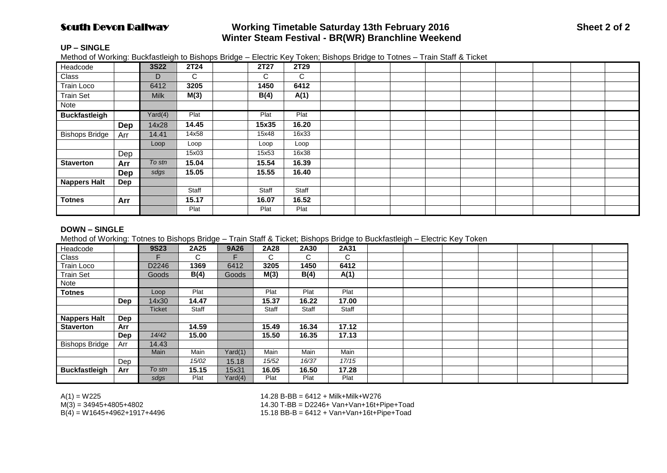# South Devon Railway **Working Timetable Saturday 13th February 2016 Sheet 2 of 2 Winter Steam Festival - BR(WR) Branchline Weekend**

## **UP – SINGLE**

Method of Working: Buckfastleigh to Bishops Bridge – Electric Key Token; Bishops Bridge to Totnes – Train Staff & Ticket

| Headcode              |            | <b>3S22</b> | 2T24  | 2T27  | 2T29  |  |  |  |  |  |
|-----------------------|------------|-------------|-------|-------|-------|--|--|--|--|--|
| Class                 |            | D           | C     | C     | C     |  |  |  |  |  |
| Train Loco            |            | 6412        | 3205  | 1450  | 6412  |  |  |  |  |  |
| <b>Train Set</b>      |            | <b>Milk</b> | M(3)  | B(4)  | A(1)  |  |  |  |  |  |
| Note                  |            |             |       |       |       |  |  |  |  |  |
| <b>Buckfastleigh</b>  |            | Yard(4)     | Plat  | Plat  | Plat  |  |  |  |  |  |
|                       | Dep        | 14x28       | 14.45 | 15x35 | 16.20 |  |  |  |  |  |
| <b>Bishops Bridge</b> | Arr        | 14.41       | 14x58 | 15x48 | 16x33 |  |  |  |  |  |
|                       |            | Loop        | Loop  | Loop  | Loop  |  |  |  |  |  |
|                       | Dep        |             | 15x03 | 15x53 | 16x38 |  |  |  |  |  |
| <b>Staverton</b>      | Arr        | To stn      | 15.04 | 15.54 | 16.39 |  |  |  |  |  |
|                       | <b>Dep</b> | sdgs        | 15.05 | 15.55 | 16.40 |  |  |  |  |  |
| <b>Nappers Halt</b>   | Dep        |             |       |       |       |  |  |  |  |  |
|                       |            |             | Staff | Staff | Staff |  |  |  |  |  |
| <b>Totnes</b>         | Arr        |             | 15.17 | 16.07 | 16.52 |  |  |  |  |  |
|                       |            |             | Plat  | Plat  | Plat  |  |  |  |  |  |

#### **DOWN – SINGLE**

Method of Working: Totnes to Bishops Bridge – Train Staff & Ticket; Bishops Bridge to Buckfastleigh – Electric Key Token

| Headcode              |            | <b>9S23</b> | 2A25  | 9A26    | 2A28  | 2A30  | 2A31  |  |  |  |  |
|-----------------------|------------|-------------|-------|---------|-------|-------|-------|--|--|--|--|
| Class                 |            |             | С     |         | C.    | C.    | C     |  |  |  |  |
| Train Loco            |            | D2246       | 1369  | 6412    | 3205  | 1450  | 6412  |  |  |  |  |
| <b>Train Set</b>      |            | Goods       | B(4)  | Goods   | M(3)  | B(4)  | A(1)  |  |  |  |  |
| Note                  |            |             |       |         |       |       |       |  |  |  |  |
| <b>Totnes</b>         |            | Loop        | Plat  |         | Plat  | Plat  | Plat  |  |  |  |  |
|                       | Dep        | 14x30       | 14.47 |         | 15.37 | 16.22 | 17.00 |  |  |  |  |
|                       |            | Ticket      | Staff |         | Staff | Staff | Staff |  |  |  |  |
| <b>Nappers Halt</b>   | Dep        |             |       |         |       |       |       |  |  |  |  |
| <b>Staverton</b>      | Arr        |             | 14.59 |         | 15.49 | 16.34 | 17.12 |  |  |  |  |
|                       | <b>Dep</b> | 14/42       | 15.00 |         | 15.50 | 16.35 | 17.13 |  |  |  |  |
| <b>Bishops Bridge</b> | Arr        | 14.43       |       |         |       |       |       |  |  |  |  |
|                       |            | Main        | Main  | Yard(1) | Main  | Main  | Main  |  |  |  |  |
|                       | Dep        |             | 15/02 | 15.18   | 15/52 | 16/37 | 17/15 |  |  |  |  |
| <b>Buckfastleigh</b>  | Arr        | To stn      | 15.15 | 15x31   | 16.05 | 16.50 | 17.28 |  |  |  |  |
|                       |            | sdgs        | Plat  | Yard(4) | Plat  | Plat  | Plat  |  |  |  |  |

A(1) = W225 = 14.28 B-BB = 6412 + Milk+Milk+W276<br>M(3) = 34945+4805+4802 = 14.30 T-BB = D2246+ Van+Van+16t+F

 $M(3) = 34945+4805+4802$ <br>B(4) = W1645+4962+1917+4496  $B(4) = W1645+4962+1917+4496$ 

 $15.18$  BB-B = 6412 + Van+Van+16t+Pipe+Toad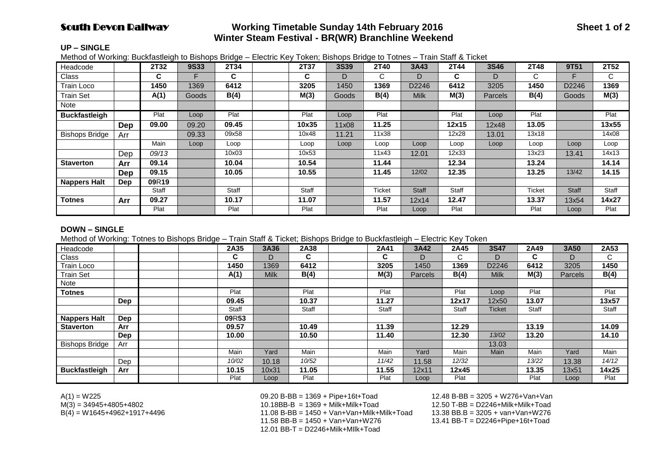# **South Devon Railway Working Timetable Sunday 14th February 2016 Sheet 1 of 2 Winter Steam Festival - BR(WR) Branchline Weekend**

#### **UP – SINGLE**

Method of Working: Buckfastleigh to Bishops Bridge – Electric Key Token; Bishops Bridge to Totnes – Train Staff & Ticket

| Headcode              |     | 2T32         | <b>9S33</b>  | 2T34         | 2T37  | <b>3S39</b> | 2T40   | 3A43         | 2T44         | <b>3S46</b> | 2T48          | 9T51         | 2T52  |
|-----------------------|-----|--------------|--------------|--------------|-------|-------------|--------|--------------|--------------|-------------|---------------|--------------|-------|
| Class                 |     | C            |              | C            | C     | D           | C      | D            | C.           | D           | C             |              | C     |
| Train Loco            |     | 1450         | 1369         | 6412         | 3205  | 1450        | 1369   | D2246        | 6412         | 3205        | 1450          | D2246        | 1369  |
| <b>Train Set</b>      |     | A(1)         | <b>Goods</b> | B(4)         | M(3)  | Goods       | B(4)   | <b>Milk</b>  | M(3)         | Parcels     | B(4)          | Goods        | M(3)  |
| Note                  |     |              |              |              |       |             |        |              |              |             |               |              |       |
| <b>Buckfastleigh</b>  |     | Plat         | Loop         | Plat         | Plat  | Loop        | Plat   |              | Plat         | Loop        | Plat          |              | Plat  |
|                       | Dep | 09.00        | 09.20        | 09.45        | 10x35 | 11x08       | 11.25  |              | 12x15        | 12x48       | 13.05         |              | 13x55 |
| <b>Bishops Bridge</b> | Arr |              | 09.33        | 09x58        | 10x48 | 11.21       | 11x38  |              | 12x28        | 13.01       | 13x18         |              | 14x08 |
|                       |     | Main         | Loop         | Loop         | Loop  | Loop        | Loop   | Loop         | Loop         | Loop        | Loop          | Loop         | Loop  |
|                       | Dep | 09/13        |              | 10x03        | 10x53 |             | 11x43  | 12.01        | 12x33        |             | 13x23         | 13.41        | 14x13 |
| <b>Staverton</b>      | Arr | 09.14        |              | 10.04        | 10.54 |             | 11.44  |              | 12.34        |             | 13.24         |              | 14.14 |
|                       | Dep | 09.15        |              | 10.05        | 10.55 |             | 11.45  | 12/02        | 12.35        |             | 13.25         | 13/42        | 14.15 |
| <b>Nappers Halt</b>   | Dep | 09R19        |              |              |       |             |        |              |              |             |               |              |       |
|                       |     | <b>Staff</b> |              | <b>Staff</b> | Staff |             | Ticket | <b>Staff</b> | <b>Staff</b> |             | <b>Ticket</b> | <b>Staff</b> | Staff |
| <b>Totnes</b>         | Arr | 09.27        |              | 10.17        | 11.07 |             | 11.57  | 12x14        | 12.47        |             | 13.37         | 13x54        | 14x27 |
|                       |     | Plat         |              | Plat         | Plat  |             | Plat   | Loop         | Plat         |             | Plat          | Loop         | Plat  |

#### **DOWN – SINGLE**

Method of Working: Totnes to Bishops Bridge – Train Staff & Ticket; Bishops Bridge to Buckfastleigh – Electric Key Token

| Headcode              |     |  | 2A35         | 3A36        | 2A38  | 2A41  | 3A42           | 2A45   | <b>3S47</b> | 2A49  | 3A50           | 2A53  |
|-----------------------|-----|--|--------------|-------------|-------|-------|----------------|--------|-------------|-------|----------------|-------|
| Class                 |     |  | C            | D           | C.    | C     | D              | ⌒<br>U | D           | C.    | D              | C.    |
| Train Loco            |     |  | 1450         | 1369        | 6412  | 3205  | 1450           | 1369   | D2246       | 6412  | 3205           | 1450  |
| <b>Train Set</b>      |     |  | A(1)         | <b>Milk</b> | B(4)  | M(3)  | <b>Parcels</b> | B(4)   | <b>Milk</b> | M(3)  | <b>Parcels</b> | B(4)  |
| Note                  |     |  |              |             |       |       |                |        |             |       |                |       |
| <b>Totnes</b>         |     |  | Plat         |             | Plat  | Plat  |                | Plat   | Loop        | Plat  |                | Plat  |
|                       | Dep |  | 09.45        |             | 10.37 | 11.27 |                | 12x17  | 12x50       | 13.07 |                | 13x57 |
|                       |     |  | <b>Staff</b> |             | Staff | Staff |                | Staff  | Ticket      | Staff |                | Staff |
| <b>Nappers Halt</b>   | Dep |  | 09R53        |             |       |       |                |        |             |       |                |       |
| <b>Staverton</b>      | Arr |  | 09.57        |             | 10.49 | 11.39 |                | 12.29  |             | 13.19 |                | 14.09 |
|                       | Dep |  | 10.00        |             | 10.50 | 11.40 |                | 12.30  | 13/02       | 13.20 |                | 14.10 |
| <b>Bishops Bridge</b> | Arr |  |              |             |       |       |                |        | 13.03       |       |                |       |
|                       |     |  | Main         | Yard        | Main  | Main  | Yard           | Main   | Main        | Main  | Yard           | Main  |
|                       | Dep |  | 10/02        | 10.18       | 10/52 | 11/42 | 11.58          | 12/32  |             | 13/22 | 13.38          | 14/12 |
| <b>Buckfastleigh</b>  | Arr |  | 10.15        | 10x31       | 11.05 | 11.55 | 12x11          | 12x45  |             | 13.35 | 13x51          | 14x25 |
|                       |     |  | Plat         | Loop        | Plat  | Plat  | Loop           | Plat   |             | Plat  | Loop           | Plat  |

A(1) = W225 09.20 B-BB = 1369 + Pipe+16t+Toad 12.48 B-BB = 3205 + W276+Van+Van M(3) = 34945+4805+4802 10.18BB-B = 1369 + Milk+Milk+Toad 12.50 T-BB = D2246+Milk+Milk+Toad  $11.08 B-BB = 1450 + Van+Van+Milk+Milk+Toad$ <br>11.58 BB-B = 1450 + Van+Van+W276 12.01 BB-T = D2246+Milk+MIlk+Toad

13.41 BB-T = D2246+Pipe+16t+Toad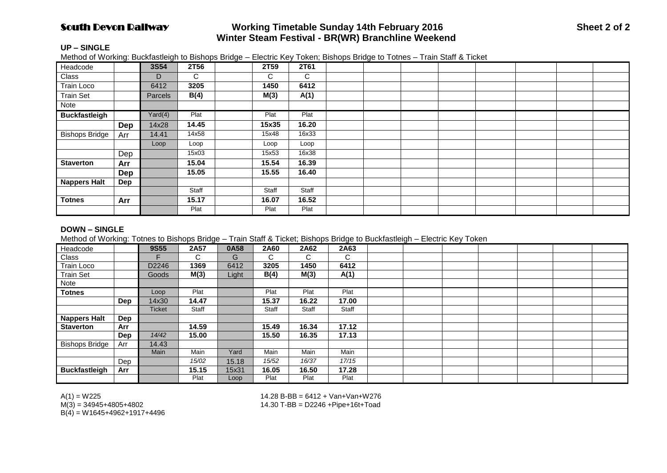# **South Devon Railway Working Timetable Sunday 14th February 2016 Sheet 2 of 2 Winter Steam Festival - BR(WR) Branchline Weekend**

## **UP – SINGLE**

Method of Working: Buckfastleigh to Bishops Bridge – Electric Key Token; Bishops Bridge to Totnes – Train Staff & Ticket

| Headcode              |            | <b>3S54</b> | 2T56  | 2T59  | 2T61  |  |  |  |  |
|-----------------------|------------|-------------|-------|-------|-------|--|--|--|--|
| Class                 |            | D           | C     | C.    | C     |  |  |  |  |
| Train Loco            |            | 6412        | 3205  | 1450  | 6412  |  |  |  |  |
| <b>Train Set</b>      |            | Parcels     | B(4)  | M(3)  | A(1)  |  |  |  |  |
| Note                  |            |             |       |       |       |  |  |  |  |
| <b>Buckfastleigh</b>  |            | Yard(4)     | Plat  | Plat  | Plat  |  |  |  |  |
|                       | <b>Dep</b> | 14x28       | 14.45 | 15x35 | 16.20 |  |  |  |  |
| <b>Bishops Bridge</b> | Arr        | 14.41       | 14x58 | 15x48 | 16x33 |  |  |  |  |
|                       |            | Loop        | Loop  | Loop  | Loop  |  |  |  |  |
|                       | Dep        |             | 15x03 | 15x53 | 16x38 |  |  |  |  |
| <b>Staverton</b>      | Arr        |             | 15.04 | 15.54 | 16.39 |  |  |  |  |
|                       | Dep        |             | 15.05 | 15.55 | 16.40 |  |  |  |  |
| <b>Nappers Halt</b>   | Dep        |             |       |       |       |  |  |  |  |
|                       |            |             | Staff | Staff | Staff |  |  |  |  |
| <b>Totnes</b>         | Arr        |             | 15.17 | 16.07 | 16.52 |  |  |  |  |
|                       |            |             | Plat  | Plat  | Plat  |  |  |  |  |

## **DOWN – SINGLE**

Method of Working: Totnes to Bishops Bridge – Train Staff & Ticket; Bishops Bridge to Buckfastleigh – Electric Key Token

| Headcode              |            | 9S55   | 2A57  | 0A58  | 2A60  | 2A62  | 2A63  |  |  |  |  |
|-----------------------|------------|--------|-------|-------|-------|-------|-------|--|--|--|--|
| Class                 |            |        | С     | G     | С     | U     | С     |  |  |  |  |
| Train Loco            |            | D2246  | 1369  | 6412  | 3205  | 1450  | 6412  |  |  |  |  |
| <b>Train Set</b>      |            | Goods  | M(3)  | Light | B(4)  | M(3)  | A(1)  |  |  |  |  |
| Note                  |            |        |       |       |       |       |       |  |  |  |  |
| <b>Totnes</b>         |            | Loop   | Plat  |       | Plat  | Plat  | Plat  |  |  |  |  |
|                       | <b>Dep</b> | 14x30  | 14.47 |       | 15.37 | 16.22 | 17.00 |  |  |  |  |
|                       |            | Ticket | Staff |       | Staff | Staff | Staff |  |  |  |  |
| <b>Nappers Halt</b>   | Dep        |        |       |       |       |       |       |  |  |  |  |
| <b>Staverton</b>      | Arr        |        | 14.59 |       | 15.49 | 16.34 | 17.12 |  |  |  |  |
|                       | Dep        | 14/42  | 15.00 |       | 15.50 | 16.35 | 17.13 |  |  |  |  |
| <b>Bishops Bridge</b> | Arr        | 14.43  |       |       |       |       |       |  |  |  |  |
|                       |            | Main   | Main  | Yard  | Main  | Main  | Main  |  |  |  |  |
|                       | Dep        |        | 15/02 | 15.18 | 15/52 | 16/37 | 17/15 |  |  |  |  |
| <b>Buckfastleigh</b>  | Arr        |        | 15.15 | 15x31 | 16.05 | 16.50 | 17.28 |  |  |  |  |
|                       |            |        | Plat  | Loop  | Plat  | Plat  | Plat  |  |  |  |  |

 $B(4) = W1645+4962+1917+4496$ 

A(1) = W225 14.28 B-BB = 6412 + Van+Van+W276<br>M(3) = 34945+4805+4802 14.30 T-BB = D2246 + Pipe+16t+Toad 14.30 T-BB = D2246 +Pipe+16t+Toad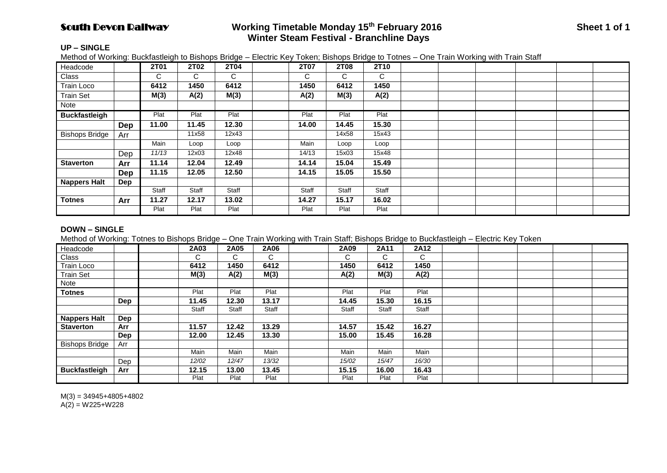# South Devon Railway **Working Timetable Monday 15th February 2016 Sheet 1 of 1 Winter Steam Festival - Branchline Days**

## **UP – SINGLE**

Method of Working: Buckfastleigh to Bishops Bridge – Electric Key Token; Bishops Bridge to Totnes – One Train Working with Train Staff

| Headcode              |     | <b>2T01</b> | <b>2T02</b> | 2T04  | <b>2T07</b> | 2T08  | 2T10  |  |  |  |
|-----------------------|-----|-------------|-------------|-------|-------------|-------|-------|--|--|--|
| Class                 |     | C           | С           | C     | C           | C     | C     |  |  |  |
| <b>Train Loco</b>     |     | 6412        | 1450        | 6412  | 1450        | 6412  | 1450  |  |  |  |
| <b>Train Set</b>      |     | M(3)        | A(2)        | M(3)  | A(2)        | M(3)  | A(2)  |  |  |  |
| Note                  |     |             |             |       |             |       |       |  |  |  |
| <b>Buckfastleigh</b>  |     | Plat        | Plat        | Plat  | Plat        | Plat  | Plat  |  |  |  |
|                       | Dep | 11.00       | 11.45       | 12.30 | 14.00       | 14.45 | 15.30 |  |  |  |
| <b>Bishops Bridge</b> | Arr |             | 11x58       | 12x43 |             | 14x58 | 15x43 |  |  |  |
|                       |     | Main        | Loop        | Loop  | Main        | Loop  | Loop  |  |  |  |
|                       | Dep | 11/13       | 12x03       | 12x48 | 14/13       | 15x03 | 15x48 |  |  |  |
| <b>Staverton</b>      | Arr | 11.14       | 12.04       | 12.49 | 14.14       | 15.04 | 15.49 |  |  |  |
|                       | Dep | 11.15       | 12.05       | 12.50 | 14.15       | 15.05 | 15.50 |  |  |  |
| <b>Nappers Halt</b>   | Dep |             |             |       |             |       |       |  |  |  |
|                       |     | Staff       | Staff       | Staff | Staff       | Staff | Staff |  |  |  |
| <b>Totnes</b>         | Arr | 11.27       | 12.17       | 13.02 | 14.27       | 15.17 | 16.02 |  |  |  |
|                       |     | Plat        | Plat        | Plat  | Plat        | Plat  | Plat  |  |  |  |

## **DOWN – SINGLE**

Method of Working: Totnes to Bishops Bridge – One Train Working with Train Staff; Bishops Bridge to Buckfastleigh – Electric Key Token

| Headcode              |     | 2A03  | 2A05  | 2A06  | 2A09  | 2A11  | 2A12         |  |  |  |
|-----------------------|-----|-------|-------|-------|-------|-------|--------------|--|--|--|
| Class                 |     | C     | C.    | C     | С     | C.    | $\mathsf{C}$ |  |  |  |
| Train Loco            |     | 6412  | 1450  | 6412  | 1450  | 6412  | 1450         |  |  |  |
| <b>Train Set</b>      |     | M(3)  | A(2)  | M(3)  | A(2)  | M(3)  | A(2)         |  |  |  |
| Note                  |     |       |       |       |       |       |              |  |  |  |
| <b>Totnes</b>         |     | Plat  | Plat  | Plat  | Plat  | Plat  | Plat         |  |  |  |
|                       | Dep | 11.45 | 12.30 | 13.17 | 14.45 | 15.30 | 16.15        |  |  |  |
|                       |     | Staff | Staff | Staff | Staff | Staff | Staff        |  |  |  |
| Nappers Halt          | Dep |       |       |       |       |       |              |  |  |  |
| <b>Staverton</b>      | Arr | 11.57 | 12.42 | 13.29 | 14.57 | 15.42 | 16.27        |  |  |  |
|                       | Dep | 12.00 | 12.45 | 13.30 | 15.00 | 15.45 | 16.28        |  |  |  |
| <b>Bishops Bridge</b> | Arr |       |       |       |       |       |              |  |  |  |
|                       |     | Main  | Main  | Main  | Main  | Main  | Main         |  |  |  |
|                       | Dep | 12/02 | 12/47 | 13/32 | 15/02 | 15/47 | 16/30        |  |  |  |
| <b>Buckfastleigh</b>  | Arr | 12.15 | 13.00 | 13.45 | 15.15 | 16.00 | 16.43        |  |  |  |
|                       |     | Plat  | Plat  | Plat  | Plat  | Plat  | Plat         |  |  |  |

 $M(3) = 34945 + 4805 + 4802$  $A(2) = W225+W228$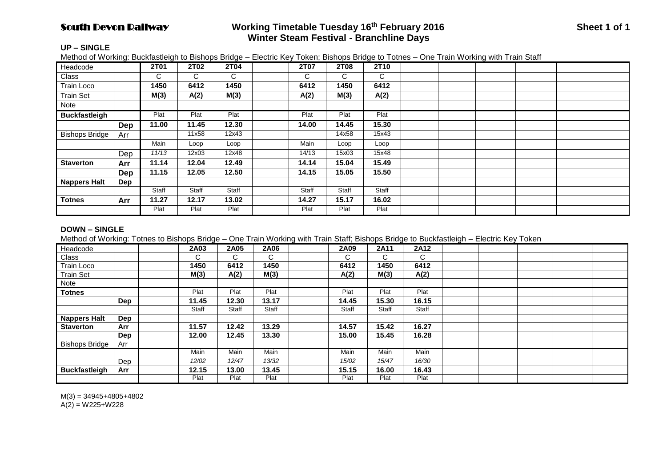# South Devon Railway **Working Timetable Tuesday 16th February 2016 Sheet 1 of 1 Winter Steam Festival - Branchline Days**

## **UP – SINGLE**

Method of Working: Buckfastleigh to Bishops Bridge – Electric Key Token; Bishops Bridge to Totnes – One Train Working with Train Staff

| Headcode              |     | 2T01  | <b>2T02</b> | 2T04  | <b>2T07</b> | 2T08  | 2T10  |  |  |  |
|-----------------------|-----|-------|-------------|-------|-------------|-------|-------|--|--|--|
| Class                 |     | C.    | C.          | C     | C           | C     | C     |  |  |  |
| Train Loco            |     | 1450  | 6412        | 1450  | 6412        | 1450  | 6412  |  |  |  |
| <b>Train Set</b>      |     | M(3)  | A(2)        | M(3)  | A(2)        | M(3)  | A(2)  |  |  |  |
| Note                  |     |       |             |       |             |       |       |  |  |  |
| <b>Buckfastleigh</b>  |     | Plat  | Plat        | Plat  | Plat        | Plat  | Plat  |  |  |  |
|                       | Dep | 11.00 | 11.45       | 12.30 | 14.00       | 14.45 | 15.30 |  |  |  |
| <b>Bishops Bridge</b> | Arr |       | 11x58       | 12x43 |             | 14x58 | 15x43 |  |  |  |
|                       |     | Main  | Loop        | Loop  | Main        | Loop  | Loop  |  |  |  |
|                       | Dep | 11/13 | 12x03       | 12x48 | 14/13       | 15x03 | 15x48 |  |  |  |
| <b>Staverton</b>      | Arr | 11.14 | 12.04       | 12.49 | 14.14       | 15.04 | 15.49 |  |  |  |
|                       | Dep | 11.15 | 12.05       | 12.50 | 14.15       | 15.05 | 15.50 |  |  |  |
| <b>Nappers Halt</b>   | Dep |       |             |       |             |       |       |  |  |  |
|                       |     | Staff | Staff       | Staff | Staff       | Staff | Staff |  |  |  |
| <b>Totnes</b>         | Arr | 11.27 | 12.17       | 13.02 | 14.27       | 15.17 | 16.02 |  |  |  |
|                       |     | Plat  | Plat        | Plat  | Plat        | Plat  | Plat  |  |  |  |

## **DOWN – SINGLE**

Method of Working: Totnes to Bishops Bridge – One Train Working with Train Staff; Bishops Bridge to Buckfastleigh – Electric Key Token

| Headcode              |     | 2A03  | 2A05  | 2A06  | 2A09  | 2A11  | 2A12         |  |  |  |
|-----------------------|-----|-------|-------|-------|-------|-------|--------------|--|--|--|
|                       |     |       |       |       |       |       |              |  |  |  |
| Class                 |     | C     | C.    | C     | C.    | С     | $\mathsf{C}$ |  |  |  |
| Train Loco            |     | 1450  | 6412  | 1450  | 6412  | 1450  | 6412         |  |  |  |
| <b>Train Set</b>      |     | M(3)  | A(2)  | M(3)  | A(2)  | M(3)  | A(2)         |  |  |  |
| Note                  |     |       |       |       |       |       |              |  |  |  |
| <b>Totnes</b>         |     | Plat  | Plat  | Plat  | Plat  | Plat  | Plat         |  |  |  |
|                       | Dep | 11.45 | 12.30 | 13.17 | 14.45 | 15.30 | 16.15        |  |  |  |
|                       |     | Staff | Staff | Staff | Staff | Staff | Staff        |  |  |  |
| <b>Nappers Halt</b>   | Dep |       |       |       |       |       |              |  |  |  |
| <b>Staverton</b>      | Arr | 11.57 | 12.42 | 13.29 | 14.57 | 15.42 | 16.27        |  |  |  |
|                       | Dep | 12.00 | 12.45 | 13.30 | 15.00 | 15.45 | 16.28        |  |  |  |
| <b>Bishops Bridge</b> | Arr |       |       |       |       |       |              |  |  |  |
|                       |     | Main  | Main  | Main  | Main  | Main  | Main         |  |  |  |
|                       | Dep | 12/02 | 12/47 | 13/32 | 15/02 | 15/47 | 16/30        |  |  |  |
| <b>Buckfastleigh</b>  | Arr | 12.15 | 13.00 | 13.45 | 15.15 | 16.00 | 16.43        |  |  |  |
|                       |     | Plat  | Plat  | Plat  | Plat  | Plat  | Plat         |  |  |  |

 $M(3) = 34945 + 4805 + 4802$  $A(2) = W225+W228$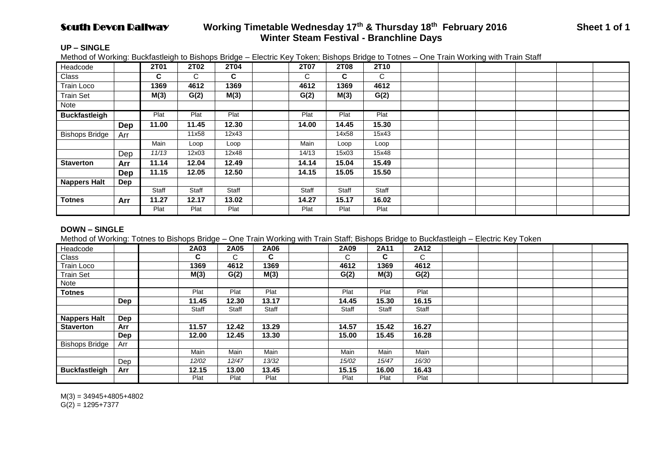# South Devon Railway **Working Timetable Wednesday 17th & Thursday 18th February 2016 Sheet 1 of 1 Winter Steam Festival - Branchline Days**

## **UP – SINGLE**

Method of Working: Buckfastleigh to Bishops Bridge – Electric Key Token; Bishops Bridge to Totnes – One Train Working with Train Staff

| Headcode              |     | 2T01  | <b>2T02</b> | <b>2T04</b> | 2T07  | <b>2T08</b> | 2T10  |  |  |  |
|-----------------------|-----|-------|-------------|-------------|-------|-------------|-------|--|--|--|
| Class                 |     | C.    | C.          | C           | C     | C           | C     |  |  |  |
| Train Loco            |     | 1369  | 4612        | 1369        | 4612  | 1369        | 4612  |  |  |  |
| <b>Train Set</b>      |     | M(3)  | G(2)        | M(3)        | G(2)  | M(3)        | G(2)  |  |  |  |
| Note                  |     |       |             |             |       |             |       |  |  |  |
| <b>Buckfastleigh</b>  |     | Plat  | Plat        | Plat        | Plat  | Plat        | Plat  |  |  |  |
|                       | Dep | 11.00 | 11.45       | 12.30       | 14.00 | 14.45       | 15.30 |  |  |  |
| <b>Bishops Bridge</b> | Arr |       | 11x58       | 12x43       |       | 14x58       | 15x43 |  |  |  |
|                       |     | Main  | Loop        | Loop        | Main  | Loop        | Loop  |  |  |  |
|                       | Dep | 11/13 | 12x03       | 12x48       | 14/13 | 15x03       | 15x48 |  |  |  |
| <b>Staverton</b>      | Arr | 11.14 | 12.04       | 12.49       | 14.14 | 15.04       | 15.49 |  |  |  |
|                       | Dep | 11.15 | 12.05       | 12.50       | 14.15 | 15.05       | 15.50 |  |  |  |
| <b>Nappers Halt</b>   | Dep |       |             |             |       |             |       |  |  |  |
|                       |     | Staff | Staff       | Staff       | Staff | Staff       | Staff |  |  |  |
| <b>Totnes</b>         | Arr | 11.27 | 12.17       | 13.02       | 14.27 | 15.17       | 16.02 |  |  |  |
|                       |     | Plat  | Plat        | Plat        | Plat  | Plat        | Plat  |  |  |  |

## **DOWN – SINGLE**

Method of Working: Totnes to Bishops Bridge – One Train Working with Train Staff; Bishops Bridge to Buckfastleigh – Electric Key Token

| Headcode              |     | 2A03  | 2A05  | 2A06  | 2A09  | 2A11  | 2A12  |  |  |  |
|-----------------------|-----|-------|-------|-------|-------|-------|-------|--|--|--|
| Class                 |     | C     | C.    | C     | С     | C.    | C.    |  |  |  |
| Train Loco            |     | 1369  | 4612  | 1369  | 4612  | 1369  | 4612  |  |  |  |
| <b>Train Set</b>      |     | M(3)  | G(2)  | M(3)  | G(2)  | M(3)  | G(2)  |  |  |  |
| Note                  |     |       |       |       |       |       |       |  |  |  |
| <b>Totnes</b>         |     | Plat  | Plat  | Plat  | Plat  | Plat  | Plat  |  |  |  |
|                       | Dep | 11.45 | 12.30 | 13.17 | 14.45 | 15.30 | 16.15 |  |  |  |
|                       |     | Staff | Staff | Staff | Staff | Staff | Staff |  |  |  |
| <b>Nappers Halt</b>   | Dep |       |       |       |       |       |       |  |  |  |
| <b>Staverton</b>      | Arr | 11.57 | 12.42 | 13.29 | 14.57 | 15.42 | 16.27 |  |  |  |
|                       | Dep | 12.00 | 12.45 | 13.30 | 15.00 | 15.45 | 16.28 |  |  |  |
| <b>Bishops Bridge</b> | Arr |       |       |       |       |       |       |  |  |  |
|                       |     | Main  | Main  | Main  | Main  | Main  | Main  |  |  |  |
|                       | Dep | 12/02 | 12/47 | 13/32 | 15/02 | 15/47 | 16/30 |  |  |  |
| <b>Buckfastleigh</b>  | Arr | 12.15 | 13.00 | 13.45 | 15.15 | 16.00 | 16.43 |  |  |  |
|                       |     | Plat  | Plat  | Plat  | Plat  | Plat  | Plat  |  |  |  |

 $M(3) = 34945 + 4805 + 4802$  $G(2) = 1295+7377$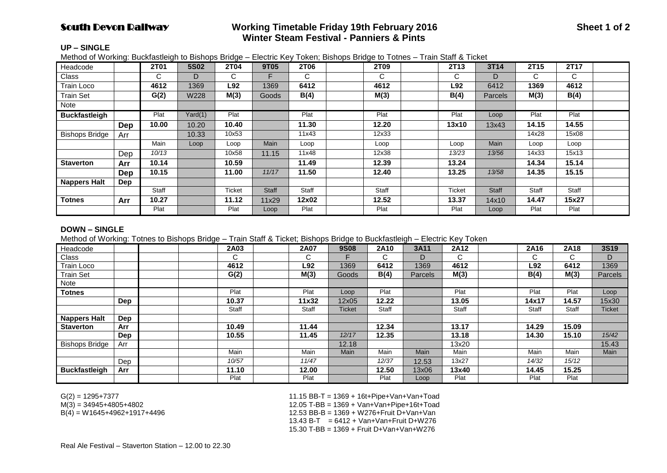## **South Devon Railway Sheet 1 of 2** Working Timetable Friday 19th February 2016 **Sheet 1 of 2 Winter Steam Festival - Panniers & Pints**

#### **UP – SINGLE**

Method of Working: Buckfastleigh to Bishops Bridge – Electric Key Token; Bishops Bridge to Totnes – Train Staff & Ticket

| Headcode              |     | 2T01  | <b>5S02</b> | 2T04          | 9T05         | 2T06  | 2T09  | 2T13   | 3T14           | 2T15  | 2T17         |  |
|-----------------------|-----|-------|-------------|---------------|--------------|-------|-------|--------|----------------|-------|--------------|--|
| Class                 |     | C.    | D           | C.            |              | C     | C     | C      | D              | C     | $\mathsf{C}$ |  |
| <b>Train Loco</b>     |     | 4612  | 1369        | L92           | 1369         | 6412  | 4612  | L92    | 6412           | 1369  | 4612         |  |
| <b>Train Set</b>      |     | G(2)  | W228        | M(3)          | <b>Goods</b> | B(4)  | M(3)  | B(4)   | <b>Parcels</b> | M(3)  | B(4)         |  |
| Note                  |     |       |             |               |              |       |       |        |                |       |              |  |
| <b>Buckfastleigh</b>  |     | Plat  | Yard(1)     | Plat          |              | Plat  | Plat  | Plat   | Loop           | Plat  | Plat         |  |
|                       | Dep | 10.00 | 10.20       | 10.40         |              | 11.30 | 12.20 | 13x10  | 13x43          | 14.15 | 14.55        |  |
| <b>Bishops Bridge</b> | Arr |       | 10.33       | 10x53         |              | 11x43 | 12x33 |        |                | 14x28 | 15x08        |  |
|                       |     | Main  | Loop        | Loop          | <b>Main</b>  | Loop  | Loop  | Loop   | Main           | Loop  | Loop         |  |
|                       | Dep | 10/13 |             | 10x58         | 11.15        | 11x48 | 12x38 | 13/23  | 13/56          | 14x33 | 15x13        |  |
| <b>Staverton</b>      | Arr | 10.14 |             | 10.59         |              | 11.49 | 12.39 | 13.24  |                | 14.34 | 15.14        |  |
|                       | Dep | 10.15 |             | 11.00         | 11/17        | 11.50 | 12.40 | 13.25  | 13/58          | 14.35 | 15.15        |  |
| <b>Nappers Halt</b>   | Dep |       |             |               |              |       |       |        |                |       |              |  |
|                       |     | Staff |             | <b>Ticket</b> | <b>Staff</b> | Staff | Staff | Ticket | Staff          | Staff | Staff        |  |
| Totnes                | Arr | 10.27 |             | 11.12         | 11x29        | 12x02 | 12.52 | 13.37  | 14x10          | 14.47 | 15x27        |  |
|                       |     | Plat  |             | Plat          | Loop         | Plat  | Plat  | Plat   | Loop           | Plat  | Plat         |  |

#### **DOWN – SINGLE**

Method of Working: Totnes to Bishops Bridge – Train Staff & Ticket; Bishops Bridge to Buckfastleigh – Electric Key Token

| Headcode              |     |  | 2A03  | 2A07   | <b>9S08</b> | 2A10   | 3A11           | 2A12  | 2A16  | 2A18  | <b>3S19</b>   |
|-----------------------|-----|--|-------|--------|-------------|--------|----------------|-------|-------|-------|---------------|
| Class                 |     |  | C.    | ⌒<br>U |             | ⌒<br>U | D              | C.    | C     | C.    | D             |
| Train Loco            |     |  | 4612  | L92    | 1369        | 6412   | 1369           | 4612  | L92   | 6412  | 1369          |
| <b>Train Set</b>      |     |  | G(2)  | M(3)   | Goods       | B(4)   | <b>Parcels</b> | M(3)  | B(4)  | M(3)  | Parcels       |
| Note                  |     |  |       |        |             |        |                |       |       |       |               |
| <b>Totnes</b>         |     |  | Plat  | Plat   | Loop        | Plat   |                | Plat  | Plat  | Plat  | Loop          |
|                       | Dep |  | 10.37 | 11x32  | 12x05       | 12.22  |                | 13.05 | 14x17 | 14.57 | 15x30         |
|                       |     |  | Staff | Staff  | Ticket      | Staff  |                | Staff | Staff | Staff | <b>Ticket</b> |
| Nappers Halt          | Dep |  |       |        |             |        |                |       |       |       |               |
| <b>Staverton</b>      | Arr |  | 10.49 | 11.44  |             | 12.34  |                | 13.17 | 14.29 | 15.09 |               |
|                       | Dep |  | 10.55 | 11.45  | 12/17       | 12.35  |                | 13.18 | 14.30 | 15.10 | 15/42         |
| <b>Bishops Bridge</b> | Arr |  |       |        | 12.18       |        |                | 13x20 |       |       | 15.43         |
|                       |     |  | Main  | Main   | Main        | Main   | Main           | Main  | Main  | Main  | Main          |
|                       | Dep |  | 10/57 | 11/47  |             | 12/37  | 12.53          | 13x27 | 14/32 | 15/12 |               |
| <b>Buckfastleigh</b>  | Arr |  | 11.10 | 12.00  |             | 12.50  | 13x06          | 13x40 | 14.45 | 15.25 |               |
|                       |     |  | Plat  | Plat   |             | Plat   | Loop           | Plat  | Plat  | Plat  |               |

G(2) = 1295+7377 11.15 BB-T = 1369 + 16t+Pipe+Van+Van+Toad  $M(3)$  = 34945+4805+4802<br>B(4) = W1645+4962+1917+4496<br>M(4) = W1645+4962+1917+4496 12.53 BB-B = 1369 + W276+Fruit D+Van+Van  $13.43 B-T = 6412 + Van+Van + Fruit D+W276$ 15.30 T-BB = 1369 + Fruit D+Van+Van+W276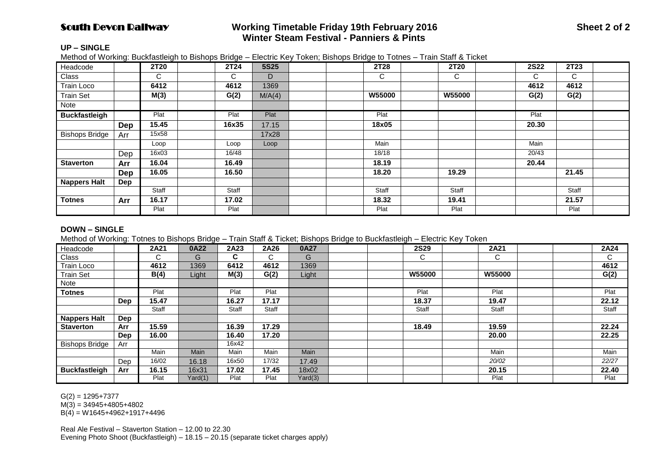## **South Devon Railway Sheet 2 of 2** Working Timetable Friday 19th February 2016 **Sheet 2 of 2** Sheet 2 of 2  **Winter Steam Festival - Panniers & Pints**

## **UP – SINGLE**

Method of Working: Buckfastleigh to Bishops Bridge – Electric Key Token; Bishops Bridge to Totnes – Train Staff & Ticket

| Headcode              |            | <b>2T20</b> | 2T24  | <b>5S25</b> | 2T28          | 2T20          | <b>2S22</b> | 2T23  |  |
|-----------------------|------------|-------------|-------|-------------|---------------|---------------|-------------|-------|--|
| <b>Class</b>          |            | C.          | C     | D           | С             | С             | C           | C     |  |
| Train Loco            |            | 6412        | 4612  | 1369        |               |               | 4612        | 4612  |  |
| <b>Train Set</b>      |            | M(3)        | G(2)  | M/A(4)      | <b>W55000</b> | <b>W55000</b> | G(2)        | G(2)  |  |
| Note                  |            |             |       |             |               |               |             |       |  |
| <b>Buckfastleigh</b>  |            | Plat        | Plat  | Plat        | Plat          |               | Plat        |       |  |
|                       | Dep        | 15.45       | 16x35 | 17.15       | 18x05         |               | 20.30       |       |  |
| <b>Bishops Bridge</b> | Arr        | 15x58       |       | 17x28       |               |               |             |       |  |
|                       |            | Loop        | Loop  | Loop        | Main          |               | Main        |       |  |
|                       | Dep        | 16x03       | 16/48 |             | 18/18         |               | 20/43       |       |  |
| <b>Staverton</b>      | Arr        | 16.04       | 16.49 |             | 18.19         |               | 20.44       |       |  |
|                       | <b>Dep</b> | 16.05       | 16.50 |             | 18.20         | 19.29         |             | 21.45 |  |
| Nappers Halt          | Dep        |             |       |             |               |               |             |       |  |
|                       |            | Staff       | Staff |             | Staff         | Staff         |             | Staff |  |
| <b>Totnes</b>         | Arr        | 16.17       | 17.02 |             | 18.32         | 19.41         |             | 21.57 |  |
|                       |            | Plat        | Plat  |             | Plat          | Plat          |             | Plat  |  |

## **DOWN – SINGLE**

Method of Working: Totnes to Bishops Bridge – Train Staff & Ticket; Bishops Bridge to Buckfastleigh – Electric Key Token

| Headcode              |     | 2A21  | 0A22    | 2A23  | 2A26  | 0A27    |  | <b>2S29</b>   | 2A21          |  | 2A24  |
|-----------------------|-----|-------|---------|-------|-------|---------|--|---------------|---------------|--|-------|
| Class                 |     | C.    | G       | C     | C.    | G       |  | $\mathsf{C}$  | $\mathsf{C}$  |  | C     |
| Train Loco            |     | 4612  | 1369    | 6412  | 4612  | 1369    |  |               |               |  | 4612  |
| <b>Train Set</b>      |     | B(4)  | Light   | M(3)  | G(2)  | Light   |  | <b>W55000</b> | <b>W55000</b> |  | G(2)  |
| Note                  |     |       |         |       |       |         |  |               |               |  |       |
| <b>Totnes</b>         |     | Plat  |         | Plat  | Plat  |         |  | Plat          | Plat          |  | Plat  |
|                       | Dep | 15.47 |         | 16.27 | 17.17 |         |  | 18.37         | 19.47         |  | 22.12 |
|                       |     | Staff |         | Staff | Staff |         |  | Staff         | Staff         |  | Staff |
| <b>Nappers Halt</b>   | Dep |       |         |       |       |         |  |               |               |  |       |
| <b>Staverton</b>      | Arr | 15.59 |         | 16.39 | 17.29 |         |  | 18.49         | 19.59         |  | 22.24 |
|                       | Dep | 16.00 |         | 16.40 | 17.20 |         |  |               | 20.00         |  | 22.25 |
| <b>Bishops Bridge</b> | Arr |       |         | 16x42 |       |         |  |               |               |  |       |
|                       |     | Main  | Main    | Main  | Main  | Main    |  |               | Main          |  | Main  |
|                       | Dep | 16/02 | 16.18   | 16x50 | 17/32 | 17.49   |  |               | 20/02         |  | 22/27 |
| <b>Buckfastleigh</b>  | Arr | 16.15 | 16x31   | 17.02 | 17.45 | 18x02   |  |               | 20.15         |  | 22.40 |
|                       |     | Plat  | Yard(1) | Plat  | Plat  | Yard(3) |  |               | Plat          |  | Plat  |

 $G(2) = 1295 + 7377$ 

 $M(3) = 34945 + 4805 + 4802$ 

 $B(4) = W1645+4962+1917+4496$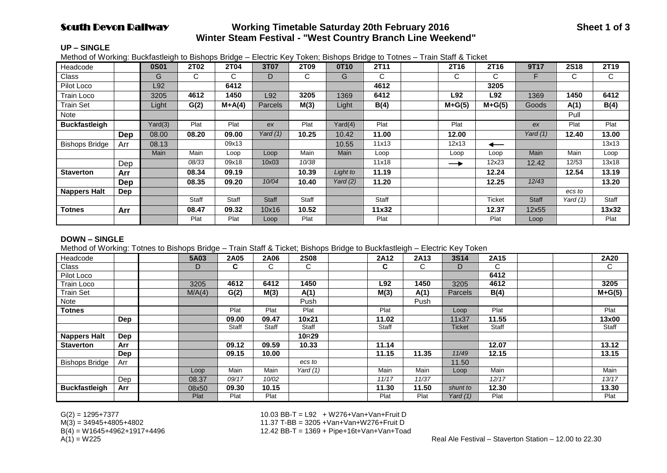# **South Devon Railway Subsetime Saturday 20th February 2016 Sheet 1 of 3 Sheet 1 of 3 Winter Steam Festival - "West Country Branch Line Weekend"**

#### **UP – SINGLE**

Method of Working: Buckfastleigh to Bishops Bridge – Electric Key Token; Bishops Bridge to Totnes – Train Staff & Ticket

| Headcode              |            | <b>0S01</b> | 2T02  | 2T04     | 3T07           | 2T09  | 0T10       | 2T11  | 2T <sub>16</sub> | 2T16          | 9T17         | 2S18       | 2T19  |
|-----------------------|------------|-------------|-------|----------|----------------|-------|------------|-------|------------------|---------------|--------------|------------|-------|
| Class                 |            | G           | C     | С        | D              | C     | G          | C     | С                | C             | F            | С          | С     |
| Pilot Loco            |            | L92         |       | 6412     |                |       |            | 4612  |                  | 3205          |              |            |       |
| Train Loco            |            | 3205        | 4612  | 1450     | L92            | 3205  | 1369       | 6412  | L92              | L92           | 1369         | 1450       | 6412  |
| <b>Train Set</b>      |            | Light       | G(2)  | $M+A(4)$ | <b>Parcels</b> | M(3)  | Light      | B(4)  | $M+G(5)$         | $M+G(5)$      | Goods        | A(1)       | B(4)  |
| Note                  |            |             |       |          |                |       |            |       |                  |               |              | Pull       |       |
| <b>Buckfastleigh</b>  |            | Yard(3)     | Plat  | Plat     | ex             | Plat  | Yard(4)    | Plat  | Plat             |               | ex           | Plat       | Plat  |
|                       | <b>Dep</b> | 08.00       | 08.20 | 09.00    | Yard (1)       | 10.25 | 10.42      | 11.00 | 12.00            |               | Yard $(1)$   | 12.40      | 13.00 |
| <b>Bishops Bridge</b> | Arr        | 08.13       |       | 09x13    |                |       | 10.55      | 11x13 | 12x13            | ←             |              |            | 13x13 |
|                       |            | <b>Main</b> | Main  | Loop     | Loop           | Main  | Main       | Loop  | Loop             | Loop          | Main         | Main       | Loop  |
|                       | Dep        |             | 08/33 | 09x18    | 10x03          | 10/38 |            | 11x18 | $\rightarrow$    | 12x23         | 12.42        | 12/53      | 13x18 |
| <b>Staverton</b>      | Arr        |             | 08.34 | 09.19    |                | 10.39 | Light to   | 11.19 |                  | 12.24         |              | 12.54      | 13.19 |
|                       | Dep        |             | 08.35 | 09.20    | 10/04          | 10.40 | Yard $(2)$ | 11.20 |                  | 12.25         | 12/43        |            | 13.20 |
| <b>Nappers Halt</b>   | <b>Dep</b> |             |       |          |                |       |            |       |                  |               |              | ecs to     |       |
|                       |            |             | Staff | Staff    | <b>Staff</b>   | Staff |            | Staff |                  | <b>Ticket</b> | <b>Staff</b> | Yard $(1)$ | Staff |
| <b>Totnes</b>         | Arr        |             | 08.47 | 09.32    | 10x16          | 10.52 |            | 11x32 |                  | 12.37         | 12x55        |            | 13x32 |
|                       |            |             | Plat  | Plat     | Loop           | Plat  |            | Plat  |                  | Plat          | Loop         |            | Plat  |

#### **DOWN – SINGLE**

Method of Working: Totnes to Bishops Bridge – Train Staff & Ticket; Bishops Bridge to Buckfastleigh – Electric Key Token

| Headcode              |     | 5A03   | 2A05  | 2A06         | <b>2S08</b>       | 2A12  | 2A13  | <b>3S14</b>    | 2A15  |  | <b>2A20</b> |
|-----------------------|-----|--------|-------|--------------|-------------------|-------|-------|----------------|-------|--|-------------|
| Class                 |     | D      | C     | С            | C                 | C.    | C     | D              | C     |  | C           |
| Pilot Loco            |     |        |       |              |                   |       |       |                | 6412  |  |             |
| <b>Train Loco</b>     |     | 3205   | 4612  | 6412         | 1450              | L92   | 1450  | 3205           | 4612  |  | 3205        |
| <b>Train Set</b>      |     | M/A(4) | G(2)  | M(3)         | A(1)              | M(3)  | A(1)  | <b>Parcels</b> | B(4)  |  | $M+G(5)$    |
| Note                  |     |        |       |              | Push              |       | Push  |                |       |  |             |
| <b>Totnes</b>         |     |        | Plat  | Plat         | Plat              | Plat  |       | Loop           | Plat  |  | Plat        |
|                       | Dep |        | 09.00 | 09.47        | 10x21             | 11.02 |       | 11x37          | 11.55 |  | 13x00       |
|                       |     |        | Staff | <b>Staff</b> | <b>Staff</b>      | Staff |       | Ticket         | Staff |  | Staff       |
| <b>Nappers Halt</b>   | Dep |        |       |              | 10 <sub>R29</sub> |       |       |                |       |  |             |
| <b>Staverton</b>      | Arr |        | 09.12 | 09.59        | 10.33             | 11.14 |       |                | 12.07 |  | 13.12       |
|                       | Dep |        | 09.15 | 10.00        |                   | 11.15 | 11.35 | 11/49          | 12.15 |  | 13.15       |
| <b>Bishops Bridge</b> | Arr |        |       |              | ecs to            |       |       | 11.50          |       |  |             |
|                       |     | Loop   | Main  | Main         | Yard (1)          | Main  | Main  | Loop           | Main  |  | Main        |
|                       | Dep | 08.37  | 09/17 | 10/02        |                   | 11/17 | 11/37 |                | 12/17 |  | 13/17       |
| <b>Buckfastleigh</b>  | Arr | 08x50  | 09.30 | 10.15        |                   | 11.30 | 11.50 | shunt to       | 12.30 |  | 13.30       |
|                       |     | Plat   | Plat  | Plat         |                   | Plat  | Plat  | Yard (1)       | Plat  |  | Plat        |

G(2) = 1295+7377 10.03 BB-T = L92 + W276+Van+Van+Fruit D M(3) = 34945+4805+4802 11.37 T-BB = 3205 +Van+Van+W276+Fruit D  $B(4) = W1645+4962+1917+4496$ <br> $A(1) = W225$ <br> $A(2) = W225$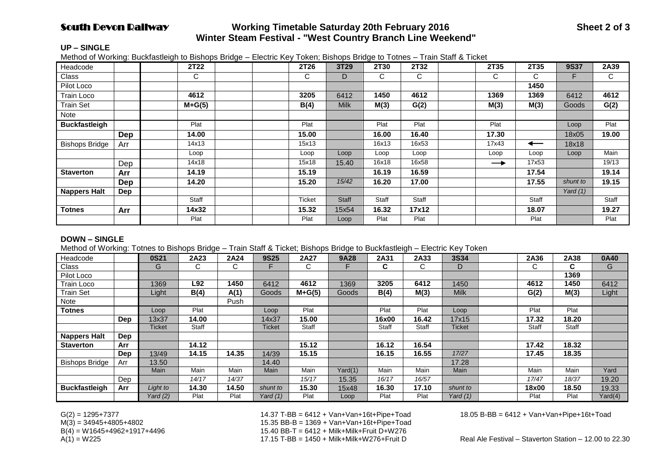# **South Devon Railway Working Timetable Saturday 20th February 2016 Sheet 2 of 3 Winter Steam Festival - "West Country Branch Line Weekend"**

#### **UP – SINGLE**

Method of Working: Buckfastleigh to Bishops Bridge – Electric Key Token; Bishops Bridge to Totnes – Train Staff & Ticket

| Headcode              |            | 2T22     | 2T26   | 3T29         | 2T30  | 2T32  | 2T35          | 2T35  | 9S37       | 2A39  |
|-----------------------|------------|----------|--------|--------------|-------|-------|---------------|-------|------------|-------|
| Class                 |            | C        | C      | D            | C     | C     | C             | С     | F          | C     |
| Pilot Loco            |            |          |        |              |       |       |               | 1450  |            |       |
| Train Loco            |            | 4612     | 3205   | 6412         | 1450  | 4612  | 1369          | 1369  | 6412       | 4612  |
| <b>Train Set</b>      |            | $M+G(5)$ | B(4)   | <b>Milk</b>  | M(3)  | G(2)  | M(3)          | M(3)  | Goods      | G(2)  |
| Note                  |            |          |        |              |       |       |               |       |            |       |
| <b>Buckfastleigh</b>  |            | Plat     | Plat   |              | Plat  | Plat  | Plat          |       | Loop       | Plat  |
|                       | <b>Dep</b> | 14.00    | 15.00  |              | 16.00 | 16.40 | 17.30         |       | 18x05      | 19.00 |
| <b>Bishops Bridge</b> | Arr        | 14x13    | 15x13  |              | 16x13 | 16x53 | 17x43         | ←     | 18x18      |       |
|                       |            | Loop     | Loop   | Loop         | Loop  | Loop  | Loop          | Loop  | Loop       | Main  |
|                       | Dep        | 14x18    | 15x18  | 15.40        | 16x18 | 16x58 | $\rightarrow$ | 17x53 |            | 19/13 |
| <b>Staverton</b>      | Arr        | 14.19    | 15.19  |              | 16.19 | 16.59 |               | 17.54 |            | 19.14 |
|                       | Dep        | 14.20    | 15.20  | 15/42        | 16.20 | 17.00 |               | 17.55 | shunt to   | 19.15 |
| <b>Nappers Halt</b>   | Dep        |          |        |              |       |       |               |       | Yard $(1)$ |       |
|                       |            | Staff    | Ticket | <b>Staff</b> | Staff | Staff |               | Staff |            | Staff |
| <b>Totnes</b>         | Arr        | 14x32    | 15.32  | 15x54        | 16.32 | 17x12 |               | 18.07 |            | 19.27 |
|                       |            | Plat     | Plat   | Loop         | Plat  | Plat  |               | Plat  |            | Plat  |

#### **DOWN – SINGLE**

Method of Working: Totnes to Bishops Bridge – Train Staff & Ticket; Bishops Bridge to Buckfastleigh – Electric Key Token

| Headcode              |            | <b>0S21</b> | 2A23  | 2A24  | <b>9S25</b>   | 2A27         | 9A28    | 2A31         | 2A33  | 3S34          | 2A36  | 2A38  | 0A40    |
|-----------------------|------------|-------------|-------|-------|---------------|--------------|---------|--------------|-------|---------------|-------|-------|---------|
| Class                 |            | G           | C     | C.    |               | U            |         | ⌒<br>U       | C     | D             | C     | C     | G       |
| Pilot Loco            |            |             |       |       |               |              |         |              |       |               |       | 1369  |         |
| Train Loco            |            | 1369        | L92   | 1450  | 6412          | 4612         | 1369    | 3205         | 6412  | 1450          | 4612  | 1450  | 6412    |
| <b>Train Set</b>      |            | Light       | B(4)  | A(1)  | Goods         | $M+G(5)$     | Goods   | B(4)         | M(3)  | <b>Milk</b>   | G(2)  | M(3)  | Light   |
| Note                  |            |             |       | Push  |               |              |         |              |       |               |       |       |         |
| <b>Totnes</b>         |            | Loop        | Plat  |       | Loop          | Plat         |         | Plat         | Plat  | Loop          | Plat  | Plat  |         |
|                       | <b>Dep</b> | 13x37       | 14.00 |       | 14x37         | 15.00        |         | 16x00        | 16.42 | 17x15         | 17.32 | 18.20 |         |
|                       |            | Ticket      | Staff |       | <b>Ticket</b> | <b>Staff</b> |         | <b>Staff</b> | Staff | <b>Ticket</b> | Staff | Staff |         |
| <b>Nappers Halt</b>   | Dep        |             |       |       |               |              |         |              |       |               |       |       |         |
| <b>Staverton</b>      | Arr        |             | 14.12 |       |               | 15.12        |         | 16.12        | 16.54 |               | 17.42 | 18.32 |         |
|                       | <b>Dep</b> | 13/49       | 14.15 | 14.35 | 14/39         | 15.15        |         | 16.15        | 16.55 | 17/27         | 17.45 | 18.35 |         |
| <b>Bishops Bridge</b> | Arr        | 13.50       |       |       | 14.40         |              |         |              |       | 17.28         |       |       |         |
|                       |            | <b>Main</b> | Main  | Main  | Main          | Main         | Yard(1) | Main         | Main  | Main          | Main  | Main  | Yard    |
|                       | Dep        |             | 14/17 | 14/37 |               | 15/17        | 15.35   | 16/17        | 16/57 |               | 17/47 | 18/37 | 19.20   |
| <b>Buckfastleigh</b>  | Arr        | Light to    | 14.30 | 14.50 | shunt to      | 15.30        | 15x48   | 16.30        | 17.10 | shunt to      | 18x00 | 18.50 | 19.33   |
|                       |            | Yard $(2)$  | Plat  | Plat  | Yard (1)      | Plat         | Loop    | Plat         | Plat  | Yard (1)      | Plat  | Plat  | Yard(4) |

M(3) = 34945+4805+4802 15.35 BB-B = 1369 + Van+Van+16t+Pipe+Toad  $B(4) = W1645+4962+1917+4496$ <br> $A(1) = W225$ <br> $B(4) = W225$ <br> $B(5) = W225$ <br> $B(6) = W225$ <br> $B(7) = W225$ A(1) = W225 17.15 T-BB = 1450 + Milk+Milk+W276+Fruit D Real Ale Festival – Staverton Station – 12.00 to 22.30

G(2) = 1295+7377 14.37 T-BB = 6412 + Van+Van+16t+Pipe+Toad 18.05 B-BB = 6412 + Van+Van+Pipe+16t+Toad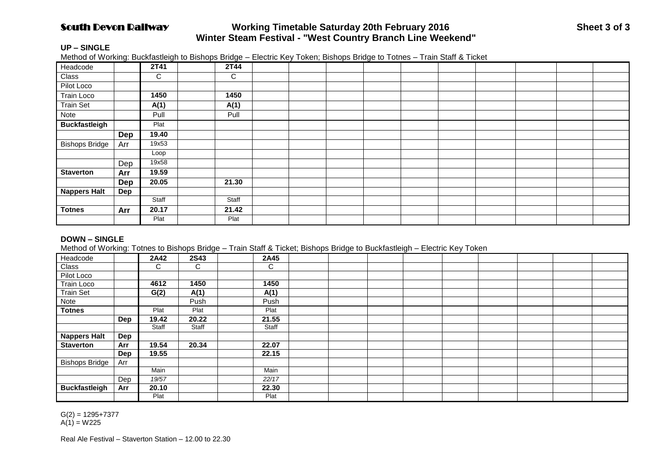# **South Devon Railway Working Timetable Saturday 20th February 2016 Sheet 3 of 3 Winter Steam Festival - "West Country Branch Line Weekend"**

### **UP – SINGLE**

Method of Working: Buckfastleigh to Bishops Bridge – Electric Key Token; Bishops Bridge to Totnes – Train Staff & Ticket

| Headcode              |     | 2T41  | 2T44  |  |  |  |  |  |
|-----------------------|-----|-------|-------|--|--|--|--|--|
| Class                 |     | C     | C     |  |  |  |  |  |
| Pilot Loco            |     |       |       |  |  |  |  |  |
| Train Loco            |     | 1450  | 1450  |  |  |  |  |  |
| <b>Train Set</b>      |     | A(1)  | A(1)  |  |  |  |  |  |
| Note                  |     | Pull  | Pull  |  |  |  |  |  |
| <b>Buckfastleigh</b>  |     | Plat  |       |  |  |  |  |  |
|                       | Dep | 19.40 |       |  |  |  |  |  |
| <b>Bishops Bridge</b> | Arr | 19x53 |       |  |  |  |  |  |
|                       |     | Loop  |       |  |  |  |  |  |
|                       | Dep | 19x58 |       |  |  |  |  |  |
| <b>Staverton</b>      | Arr | 19.59 |       |  |  |  |  |  |
|                       | Dep | 20.05 | 21.30 |  |  |  |  |  |
| <b>Nappers Halt</b>   | Dep |       |       |  |  |  |  |  |
|                       |     | Staff | Staff |  |  |  |  |  |
| <b>Totnes</b>         | Arr | 20.17 | 21.42 |  |  |  |  |  |
|                       |     | Plat  | Plat  |  |  |  |  |  |

## **DOWN – SINGLE**

Method of Working: Totnes to Bishops Bridge – Train Staff & Ticket; Bishops Bridge to Buckfastleigh – Electric Key Token

| Headcode              |     | 2A42  | <b>2S43</b> | 2A45  |  |  |  |  |  |
|-----------------------|-----|-------|-------------|-------|--|--|--|--|--|
| Class                 |     | C     | C           | С     |  |  |  |  |  |
| Pilot Loco            |     |       |             |       |  |  |  |  |  |
| <b>Train Loco</b>     |     | 4612  | 1450        | 1450  |  |  |  |  |  |
| <b>Train Set</b>      |     | G(2)  | A(1)        | A(1)  |  |  |  |  |  |
| Note                  |     |       | Push        | Push  |  |  |  |  |  |
| <b>Totnes</b>         |     | Plat  | Plat        | Plat  |  |  |  |  |  |
|                       | Dep | 19.42 | 20.22       | 21.55 |  |  |  |  |  |
|                       |     | Staff | Staff       | Staff |  |  |  |  |  |
| <b>Nappers Halt</b>   | Dep |       |             |       |  |  |  |  |  |
| <b>Staverton</b>      | Arr | 19.54 | 20.34       | 22.07 |  |  |  |  |  |
|                       | Dep | 19.55 |             | 22.15 |  |  |  |  |  |
| <b>Bishops Bridge</b> | Arr |       |             |       |  |  |  |  |  |
|                       |     | Main  |             | Main  |  |  |  |  |  |
|                       | Dep | 19/57 |             | 22/17 |  |  |  |  |  |
| <b>Buckfastleigh</b>  | Arr | 20.10 |             | 22.30 |  |  |  |  |  |
|                       |     | Plat  |             | Plat  |  |  |  |  |  |

 $G(2) = 1295 + 7377$  $A(1) = W225$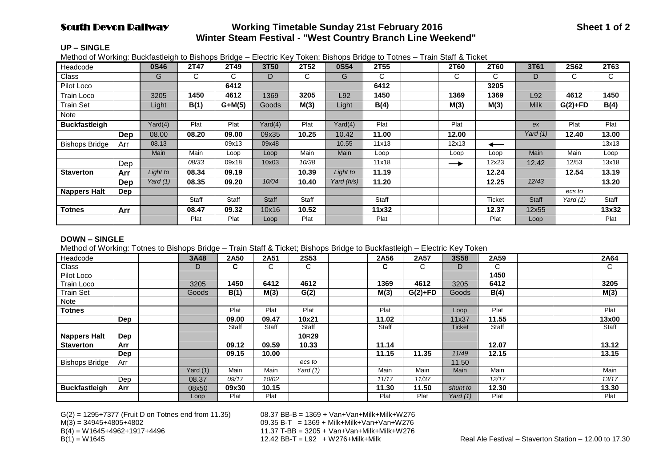# **South Devon Railway Sunday Access Working Timetable Sunday 21st February 2016 Sheet 1 of 2 Sheet 1 of 2 Winter Steam Festival - "West Country Branch Line Weekend"**

#### **UP – SINGLE**

Method of Working: Buckfastleigh to Bishops Bridge – Electric Key Token; Bishops Bridge to Totnes – Train Staff & Ticket

| Headcode              |            | 0S46        | 2T47  | 2T49     | 3T50         | 2T52  | 0S54       | 2T55  | <b>2T60</b>   | 2T60   | 3T61         | 2S62       | 2T63  |
|-----------------------|------------|-------------|-------|----------|--------------|-------|------------|-------|---------------|--------|--------------|------------|-------|
| Class                 |            | G           | C     | С        | D            | C     | G          | C     | ⌒<br>◡        | С      | D            | С          | C     |
| Pilot Loco            |            |             |       | 6412     |              |       |            | 6412  |               | 3205   |              |            |       |
| Train Loco            |            | 3205        | 1450  | 4612     | 1369         | 3205  | L92        | 1450  | 1369          | 1369   | L92          | 4612       | 1450  |
| <b>Train Set</b>      |            | Light       | B(1)  | $G+M(5)$ | Goods        | M(3)  | Light      | B(4)  | M(3)          | M(3)   | <b>Milk</b>  | $G(2)+FD$  | B(4)  |
| Note                  |            |             |       |          |              |       |            |       |               |        |              |            |       |
| <b>Buckfastleigh</b>  |            | Yard(4)     | Plat  | Plat     | Yard(4)      | Plat  | Yard(4)    | Plat  | Plat          |        | ex           | Plat       | Plat  |
|                       | <b>Dep</b> | 08.00       | 08.20 | 09.00    | 09x35        | 10.25 | 10.42      | 11.00 | 12.00         |        | Yard $(1)$   | 12.40      | 13.00 |
| <b>Bishops Bridge</b> | Arr        | 08.13       |       | 09x13    | 09x48        |       | 10.55      | 11x13 | 12x13         | ←      |              |            | 13x13 |
|                       |            | <b>Main</b> | Main  | Loop     | Loop         | Main  | Main       | Loop  | Loop          | Loop   | Main         | Main       | Loop  |
|                       | Dep        |             | 08/33 | 09x18    | 10x03        | 10/38 |            | 11x18 | $\rightarrow$ | 12x23  | 12.42        | 12/53      | 13x18 |
| <b>Staverton</b>      | Arr        | Light to    | 08.34 | 09.19    |              | 10.39 | Light to   | 11.19 |               | 12.24  |              | 12.54      | 13.19 |
|                       | Dep        | Yard $(1)$  | 08.35 | 09.20    | 10/04        | 10.40 | Yard (h/s) | 11.20 |               | 12.25  | 12/43        |            | 13.20 |
| <b>Nappers Halt</b>   | <b>Dep</b> |             |       |          |              |       |            |       |               |        |              | ecs to     |       |
|                       |            |             | Staff | Staff    | <b>Staff</b> | Staff |            | Staff |               | Ticket | <b>Staff</b> | Yard $(1)$ | Staff |
| <b>Totnes</b>         | Arr        |             | 08.47 | 09.32    | 10x16        | 10.52 |            | 11x32 |               | 12.37  | 12x55        |            | 13x32 |
|                       |            |             | Plat  | Plat     | Loop         | Plat  |            | Plat  |               | Plat   | Loop         |            | Plat  |

#### **DOWN – SINGLE**

Method of Working: Totnes to Bishops Bridge – Train Staff & Ticket; Bishops Bridge to Buckfastleigh – Electric Key Token

| Headcode              |     | 3A48       | 2A50  | 2A51         | 2S53              | 2A56         | 2A57      | <b>3S58</b>   | 2A59  |  | 2A64  |
|-----------------------|-----|------------|-------|--------------|-------------------|--------------|-----------|---------------|-------|--|-------|
| Class                 |     | D          | C.    | С            | C                 | ⌒<br>◡       | C         | D             | C     |  | C     |
| Pilot Loco            |     |            |       |              |                   |              |           |               | 1450  |  |       |
| <b>Train Loco</b>     |     | 3205       | 1450  | 6412         | 4612              | 1369         | 4612      | 3205          | 6412  |  | 3205  |
| <b>Train Set</b>      |     | Goods      | B(1)  | M(3)         | G(2)              | M(3)         | $G(2)+FD$ | Goods         | B(4)  |  | M(3)  |
| Note                  |     |            |       |              |                   |              |           |               |       |  |       |
| Totnes                |     |            | Plat  | Plat         | Plat              | Plat         |           | Loop          | Plat  |  | Plat  |
|                       | Dep |            | 09.00 | 09.47        | 10x21             | 11.02        |           | 11x37         | 11.55 |  | 13x00 |
|                       |     |            | Staff | <b>Staff</b> | <b>Staff</b>      | <b>Staff</b> |           | <b>Ticket</b> | Staff |  | Staff |
| <b>Nappers Halt</b>   | Dep |            |       |              | 10 <sub>R29</sub> |              |           |               |       |  |       |
| <b>Staverton</b>      | Arr |            | 09.12 | 09.59        | 10.33             | 11.14        |           |               | 12.07 |  | 13.12 |
|                       | Dep |            | 09.15 | 10.00        |                   | 11.15        | 11.35     | 11/49         | 12.15 |  | 13.15 |
| <b>Bishops Bridge</b> | Arr |            |       |              | ecs to            |              |           | 11.50         |       |  |       |
|                       |     | Yard $(1)$ | Main  | Main         | Yard $(1)$        | Main         | Main      | Main          | Main  |  | Main  |
|                       | Dep | 08.37      | 09/17 | 10/02        |                   | 11/17        | 11/37     |               | 12/17 |  | 13/17 |
| <b>Buckfastleigh</b>  | Arr | 08x50      | 09x30 | 10.15        |                   | 11.30        | 11.50     | shunt to      | 12.30 |  | 13.30 |
|                       |     | Loop       | Plat  | Plat         |                   | Plat         | Plat      | Yard (1)      | Plat  |  | Plat  |

 $G(2) = 1295+7377$  (Fruit D on Totnes end from 11.35) 08.37 BB-B = 1369 + Van+Van+Milk+Milk+W276

M(3) = 34945+4805+4802 09.35 B-T = 1369 + Milk+Milk+Van+Van+W276  $B(4) = W1645+4962+1917+4496$ <br> $B(1) = W1645$ <br> $B(2) = W1645$ <br> $B(3) = W1645$ <br> $B(4) = W1645$ <br> $B(5) = W1645$ <br> $B(6) = W1645$ <br> $B(7) = W1645$ <br> $B(8) = W1645$ <br> $B(9) = W1645$ <br> $B(1) = W1645$ <br> $B(1) = W1645$ <br> $B(1) = W1645$